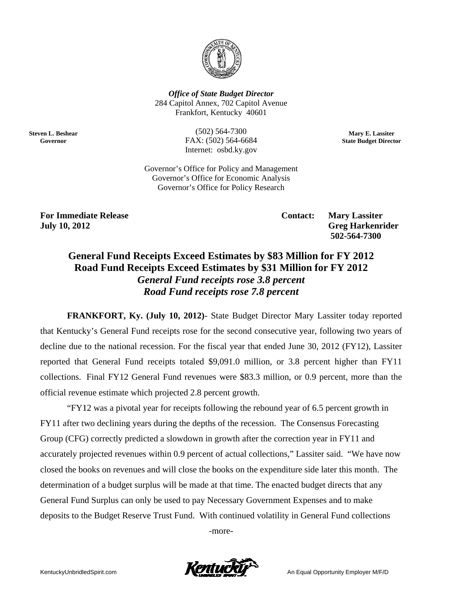

*Office of State Budget Director* 284 Capitol Annex, 702 Capitol Avenue Frankfort, K Kentucky 406 601

FAX: (502) 564-6684<br>Internet: osbd.ky.gov<br>Governor's Office for Policy and Management (502) ) 564-7300 FAX: (5 02) 564-6684 Internet: osbd.ky.gov

**Mary E. Lass siter State Budget Di irector** 

Governor's Office for Economic Analysis Governor's Office for Policy Research

**F For Immedi iate Release J July 10, 201 2** 

**Steve en L. Beshear G Governor** 

> Contact: Ma Greg Harkenrider  **502 2-564-7300 Mary Lassiter**

# contact: Mary Lassite, 2012<br> **General Fund Receipts Exceed Estimates by \$83 Million for FY 2012<br>
General Fund Receipts Exceed Estimates by \$83 Million for FY 2012** Road Fund Receipts Exceed Estimates by \$31 Million for FY 2012 *General Fund receipts rose 3.8 percent Road Fund receipts rose 7.8 percent*

that Kentucky's General Fund receipts rose for the second consecutive year, following two years of decline due to the national recession. For the fiscal year that ended June 30, 2012 (FY12), Lassiter reported that General Fund receipts totaled \$9,091.0 million, or 3.8 percent higher than FY11 collections. Final FY12 General Fund revenues were \$83.3 million, or 0.9 percent, more than the official revenue estimate which projected 2.8 percent growth. FRANKFORT, Ky. (July 10, 2012)- State Budget Director Mary Lassiter today reported

FY11 after two declining years during the depths of the recession. The Consensus Forecasting Group (CFG) correctly predicted a slowdown in growth after the correction year in FY11 and accurately projected revenues within 0.9 percent of actual collections," Lassiter said. "We have now closed the books on revenues and will close the books on the expenditure side later this month. The determination of a budget surplus will be made at that time. The enacted budget directs that any General Fund Surplus can only be used to pay Necessary Government Expenses and to make deposits to the Budget Reserve Trust Fund. With continued volatility in General Fund collections "FY12 was a pivotal year for receipts following the rebound year of 6.5 percent growth in

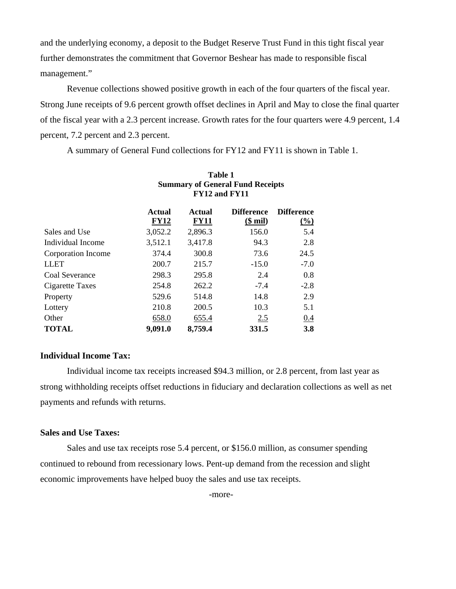and the underlying economy, a deposit to the Budget Reserve Trust Fund in this tight fiscal year further demonstrates the commitment that Governor Beshear has made to responsible fiscal management."

 Revenue collections showed positive growth in each of the four quarters of the fiscal year. Strong June receipts of 9.6 percent growth offset declines in April and May to close the final quarter of the fiscal year with a 2.3 percent increase. Growth rates for the four quarters were 4.9 percent, 1.4 percent, 7.2 percent and 2.3 percent.

A summary of General Fund collections for FY12 and FY11 is shown in Table 1.

|                    | Actual<br><b>FY12</b> | Actual<br><b>FY11</b> | <b>Difference</b><br>( <b>small</b> ) | <b>Difference</b><br>$\frac{0}{0}$ |
|--------------------|-----------------------|-----------------------|---------------------------------------|------------------------------------|
| Sales and Use      | 3,052.2               | 2,896.3               | 156.0                                 | 5.4                                |
| Individual Income  | 3,512.1               | 3,417.8               | 94.3                                  | 2.8                                |
| Corporation Income | 374.4                 | 300.8                 | 73.6                                  | 24.5                               |
| <b>LLET</b>        | 200.7                 | 215.7                 | $-15.0$                               | $-7.0$                             |
| Coal Severance     | 298.3                 | 295.8                 | 2.4                                   | 0.8                                |
| Cigarette Taxes    | 254.8                 | 262.2                 | $-7.4$                                | $-2.8$                             |
| Property           | 529.6                 | 514.8                 | 14.8                                  | 2.9                                |
| Lottery            | 210.8                 | 200.5                 | 10.3                                  | 5.1                                |
| Other              | 658.0                 | 655.4                 | 2.5                                   | 0.4                                |
| <b>TOTAL</b>       | 9,091.0               | 8,759.4               | 331.5                                 | <b>3.8</b>                         |

# **Table 1 Summary of General Fund Receipts FY12 and FY11**

# **Individual Income Tax:**

Individual income tax receipts increased \$94.3 million, or 2.8 percent, from last year as strong withholding receipts offset reductions in fiduciary and declaration collections as well as net payments and refunds with returns.

# **Sales and Use Taxes:**

Sales and use tax receipts rose 5.4 percent, or \$156.0 million, as consumer spending continued to rebound from recessionary lows. Pent-up demand from the recession and slight economic improvements have helped buoy the sales and use tax receipts.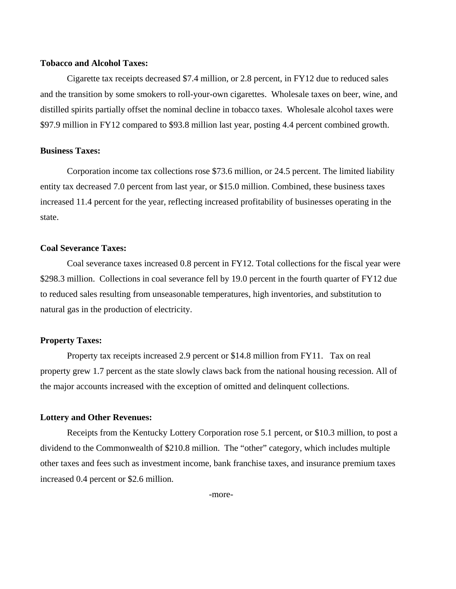# **Tobacco and Alcohol Taxes:**

Cigarette tax receipts decreased \$7.4 million, or 2.8 percent, in FY12 due to reduced sales and the transition by some smokers to roll-your-own cigarettes. Wholesale taxes on beer, wine, and distilled spirits partially offset the nominal decline in tobacco taxes. Wholesale alcohol taxes were \$97.9 million in FY12 compared to \$93.8 million last year, posting 4.4 percent combined growth.

# **Business Taxes:**

Corporation income tax collections rose \$73.6 million, or 24.5 percent. The limited liability entity tax decreased 7.0 percent from last year, or \$15.0 million. Combined, these business taxes increased 11.4 percent for the year, reflecting increased profitability of businesses operating in the state.

### **Coal Severance Taxes:**

Coal severance taxes increased 0.8 percent in FY12. Total collections for the fiscal year were \$298.3 million. Collections in coal severance fell by 19.0 percent in the fourth quarter of FY12 due to reduced sales resulting from unseasonable temperatures, high inventories, and substitution to natural gas in the production of electricity.

# **Property Taxes:**

Property tax receipts increased 2.9 percent or \$14.8 million from FY11. Tax on real property grew 1.7 percent as the state slowly claws back from the national housing recession. All of the major accounts increased with the exception of omitted and delinquent collections.

# **Lottery and Other Revenues:**

Receipts from the Kentucky Lottery Corporation rose 5.1 percent, or \$10.3 million, to post a dividend to the Commonwealth of \$210.8 million. The "other" category, which includes multiple other taxes and fees such as investment income, bank franchise taxes, and insurance premium taxes increased 0.4 percent or \$2.6 million.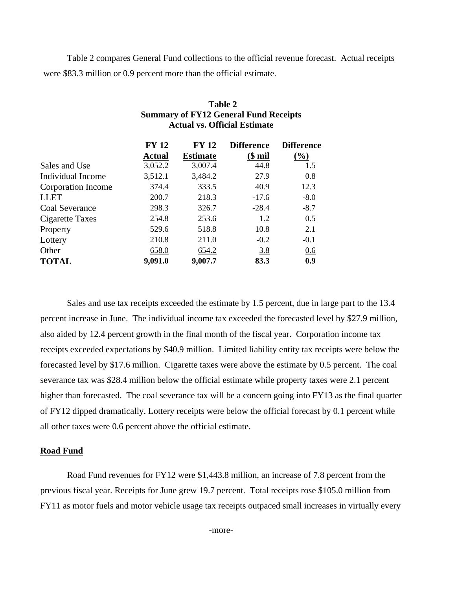Table 2 compares General Fund collections to the official revenue forecast. Actual receipts were \$83.3 million or 0.9 percent more than the official estimate.

**Table 2** 

|                       | <b>Summary of FY12 General Fund Receipts</b><br><b>Actual vs. Official Estimate</b> |                                 |                              |                          |  |  |
|-----------------------|-------------------------------------------------------------------------------------|---------------------------------|------------------------------|--------------------------|--|--|
|                       | <b>FY 12</b><br><b>Actual</b>                                                       | <b>FY 12</b><br><b>Estimate</b> | <b>Difference</b><br>$$$ mil | <b>Difference</b><br>(%) |  |  |
| Sales and Use         | 3,052.2                                                                             | 3,007.4                         | 44.8                         | 1.5                      |  |  |
| Individual Income     | 3,512.1                                                                             | 3,484.2                         | 27.9                         | 0.8                      |  |  |
| Corporation Income    | 374.4                                                                               | 333.5                           | 40.9                         | 12.3                     |  |  |
| <b>LLET</b>           | 200.7                                                                               | 218.3                           | $-17.6$                      | $-8.0$                   |  |  |
| <b>Coal Severance</b> | 298.3                                                                               | 326.7                           | $-28.4$                      | $-8.7$                   |  |  |
| Cigarette Taxes       | 254.8                                                                               | 253.6                           | 1.2                          | 0.5                      |  |  |
| Property              | 529.6                                                                               | 518.8                           | 10.8                         | 2.1                      |  |  |
| Lottery               | 210.8                                                                               | 211.0                           | $-0.2$                       | $-0.1$                   |  |  |
| Other                 | 658.0                                                                               | 654.2                           | 3.8                          | 0.6                      |  |  |
| <b>TOTAL</b>          | 9,091.0                                                                             | 9,007.7                         | 83.3                         | 0.9                      |  |  |

Sales and use tax receipts exceeded the estimate by 1.5 percent, due in large part to the 13.4 percent increase in June. The individual income tax exceeded the forecasted level by \$27.9 million, also aided by 12.4 percent growth in the final month of the fiscal year. Corporation income tax receipts exceeded expectations by \$40.9 million. Limited liability entity tax receipts were below the forecasted level by \$17.6 million. Cigarette taxes were above the estimate by 0.5 percent. The coal severance tax was \$28.4 million below the official estimate while property taxes were 2.1 percent higher than forecasted. The coal severance tax will be a concern going into FY13 as the final quarter of FY12 dipped dramatically. Lottery receipts were below the official forecast by 0.1 percent while all other taxes were 0.6 percent above the official estimate.

# **Road Fund**

Road Fund revenues for FY12 were \$1,443.8 million, an increase of 7.8 percent from the previous fiscal year. Receipts for June grew 19.7 percent. Total receipts rose \$105.0 million from FY11 as motor fuels and motor vehicle usage tax receipts outpaced small increases in virtually every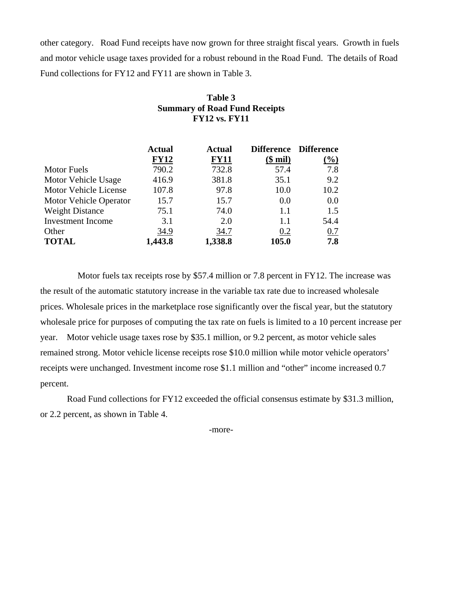other category. Road Fund receipts have now grown for three straight fiscal years. Growth in fuels and motor vehicle usage taxes provided for a robust rebound in the Road Fund. The details of Road Fund collections for FY12 and FY11 are shown in Table 3.

> **Table 3 Summary of Road Fund Receipts**

|                        | <b>FY12 vs. FY11</b> |               |                       |                                   |  |  |
|------------------------|----------------------|---------------|-----------------------|-----------------------------------|--|--|
|                        | <b>Actual</b>        | Actual        | <b>Difference</b>     | <b>Difference</b>                 |  |  |
| <b>Motor Fuels</b>     | <b>FY12</b><br>790.2 | FY11<br>732.8 | $(\$$ mil $)$<br>57.4 | $\left(\frac{9}{0}\right)$<br>7.8 |  |  |
| Motor Vehicle Usage    | 416.9                | 381.8         | 35.1                  | 9.2                               |  |  |
| Motor Vehicle License  | 107.8                | 97.8          | 10.0                  | 10.2                              |  |  |
| Motor Vehicle Operator | 15.7                 | 15.7          | 0.0                   | 0.0                               |  |  |
| <b>Weight Distance</b> | 75.1                 | 74.0          | 1.1                   | 1.5                               |  |  |
| Investment Income      | 3.1                  | 2.0           | 1.1                   | 54.4                              |  |  |
| Other                  | 34.9                 | 34.7          | 0.2                   | 0.7                               |  |  |
| <b>TOTAL</b>           | 1,443.8              | 1,338.8       | 105.0                 | 7.8                               |  |  |

 Motor fuels tax receipts rose by \$57.4 million or 7.8 percent in FY12. The increase was the result of the automatic statutory increase in the variable tax rate due to increased wholesale prices. Wholesale prices in the marketplace rose significantly over the fiscal year, but the statutory wholesale price for purposes of computing the tax rate on fuels is limited to a 10 percent increase per year. Motor vehicle usage taxes rose by \$35.1 million, or 9.2 percent, as motor vehicle sales remained strong. Motor vehicle license receipts rose \$10.0 million while motor vehicle operators' receipts were unchanged. Investment income rose \$1.1 million and "other" income increased 0.7 percent.

Road Fund collections for FY12 exceeded the official consensus estimate by \$31.3 million, or 2.2 percent, as shown in Table 4.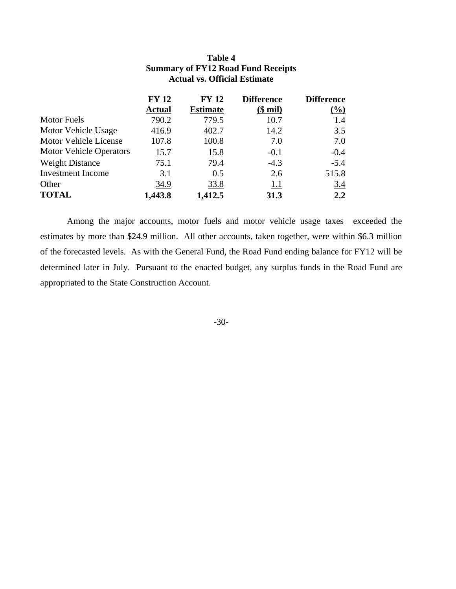|                                | <b>FY 12</b>  | <b>FY 12</b>    | <b>Difference</b> | <b>Difference</b> |
|--------------------------------|---------------|-----------------|-------------------|-------------------|
|                                | <b>Actual</b> | <b>Estimate</b> | $($$ mil)         | $(\%)$            |
| <b>Motor Fuels</b>             | 790.2         | 779.5           | 10.7              | 1.4               |
| Motor Vehicle Usage            | 416.9         | 402.7           | 14.2              | 3.5               |
| Motor Vehicle License          | 107.8         | 100.8           | 7.0               | 7.0               |
| <b>Motor Vehicle Operators</b> | 15.7          | 15.8            | $-0.1$            | $-0.4$            |
| <b>Weight Distance</b>         | 75.1          | 79.4            | $-4.3$            | $-5.4$            |
| <b>Investment</b> Income       | 3.1           | 0.5             | 2.6               | 515.8             |
| Other                          | 34.9          | 33.8            | <u>1.1</u>        | 3.4               |
| <b>TOTAL</b>                   | 1,443.8       | 1,412.5         | 31.3              | 2.2               |

# **Table 4 Summary of FY12 Road Fund Receipts Actual vs. Official Estimate**

Among the major accounts, motor fuels and motor vehicle usage taxes exceeded the estimates by more than \$24.9 million. All other accounts, taken together, were within \$6.3 million of the forecasted levels. As with the General Fund, the Road Fund ending balance for FY12 will be determined later in July. Pursuant to the enacted budget, any surplus funds in the Road Fund are appropriated to the State Construction Account.

### -30-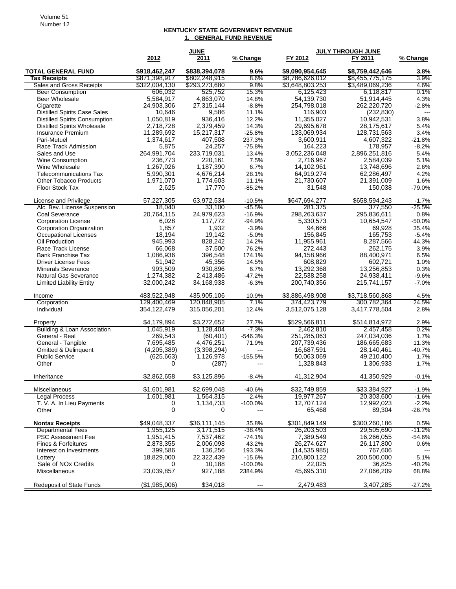#### **KENTUCKY STATE GOVERNMENT REVENUE 1. GENERAL FUND REVENUE**

|                                                          |               | <b>JUNE</b>   |           |                 | <b>JULY THROUGH JUNE</b> |                          |
|----------------------------------------------------------|---------------|---------------|-----------|-----------------|--------------------------|--------------------------|
|                                                          | 2012          | 2011          | % Change  | FY 2012         | FY 2011                  | % Change                 |
| <b>TOTAL GENERAL FUND</b>                                | \$918,462,247 | \$838,394,078 | 9.6%      | \$9,090,954,645 | \$8,759,442,646          | 3.8%                     |
| <b>Tax Receipts</b>                                      | \$871,398,917 | \$802,248,915 | 8.6%      | \$8,786,626,012 | \$8,455,775,175          | 3.9%                     |
| Sales and Gross Receipts                                 | \$322,004,130 | \$293,273,680 | 9.8%      | \$3,648,803,253 | \$3,489,069,236          | 4.6%                     |
| <b>Beer Consumption</b>                                  | 606,032       | 525,752       | 15.3%     | 6,125,423       | 6,118,817                | 0.1%                     |
| Beer Wholesale                                           | 5,584,917     | 4,863,070     | 14.8%     | 54,139,730      | 51,914,445               | 4.3%                     |
| Cigarette                                                | 24,903,306    | 27,315,144    | $-8.8%$   | 254,798,018     | 262,220,720              | $-2.8%$                  |
| <b>Distilled Spirits Case Sales</b>                      | 10,646        | 9,586         | 11.1%     | 116,903         | (232, 830)               | $\overline{\phantom{a}}$ |
| <b>Distilled Spirits Consumption</b>                     | 1,050,819     | 936,416       | 12.2%     | 11,355,027      | 10,942,531               | 3.8%                     |
| <b>Distilled Spirits Wholesale</b>                       | 2,718,728     | 2,379,459     | 14.3%     | 29,695,678      | 28,175,617               | 5.4%                     |
| Insurance Premium                                        | 11,289,692    | 15,217,317    | $-25.8%$  | 133,069,934     | 128,731,563              | 3.4%                     |
| Pari-Mutuel                                              | 1,374,617     | 407,508       | 237.3%    | 3,600,911       | 4,607,322                | $-21.8%$                 |
| Race Track Admission                                     | 5,875         | 24,257        | $-75.8%$  | 164,223         | 178,957                  | $-8.2%$                  |
| Sales and Use                                            | 264,991,704   | 233,719,031   | 13.4%     | 3,052,236,048   | 2,896,251,816            | 5.4%                     |
| Wine Consumption                                         | 236,773       | 220,161       | 7.5%      | 2,716,967       | 2,584,039                | 5.1%                     |
| Wine Wholesale                                           | 1,267,026     | 1,187,390     | 6.7%      | 14,102,961      | 13,748,696               | 2.6%                     |
| <b>Telecommunications Tax</b>                            | 5,990,301     | 4,676,214     | 28.1%     | 64,919,274      | 62,286,497               | 4.2%                     |
| <b>Other Tobacco Products</b>                            | 1,971,070     | 1,774,603     | 11.1%     | 21,730,607      | 21,391,009               | 1.6%                     |
| <b>Floor Stock Tax</b>                                   | 2,625         | 17,770        | $-85.2%$  | 31,548          | 150,038                  | $-79.0%$                 |
| License and Privilege                                    | 57,227,305    | 63,972,534    | $-10.5%$  | \$647,694,277   | \$658,594,243            | $-1.7%$                  |
| Alc. Bev. License Suspension                             | 18,040        | 33,100        | $-45.5%$  | 281,375         | 377,550                  | $-25.5%$                 |
| Coal Severance                                           | 20,764,115    | 24,979,623    | $-16.9%$  | 298,263,637     | 295,836,611              | 0.8%                     |
| <b>Corporation License</b>                               | 6,028         | 117,772       | $-94.9%$  | 5,330,573       | 10,654,547               | $-50.0%$                 |
| <b>Corporation Organization</b>                          | 1,857         | 1,932         | $-3.9%$   | 94,666          | 69,928                   | 35.4%                    |
| <b>Occupational Licenses</b>                             | 18,194        | 19,142        | $-5.0%$   | 156,845         | 165,753                  | $-5.4%$                  |
| Oil Production                                           | 945,993       | 828,242       | 14.2%     | 11,955,961      | 8,287,566                | 44.3%                    |
| Race Track License                                       | 66,068        | 37,500        | 76.2%     | 272,443         | 262,175                  | 3.9%                     |
| <b>Bank Franchise Tax</b>                                | 1,086,936     | 396,548       | 174.1%    | 94,158,966      | 88,400,971               | 6.5%                     |
| <b>Driver License Fees</b>                               | 51,942        | 45,356        | 14.5%     | 608,829         | 602,721                  | 1.0%                     |
| <b>Minerals Severance</b>                                | 993,509       | 930,896       | 6.7%      | 13,292,368      | 13,256,853               | 0.3%                     |
| Natural Gas Severance                                    | 1,274,382     | 2,413,486     | $-47.2%$  | 22,538,258      | 24,938,411               | $-9.6%$                  |
| <b>Limited Liability Entity</b>                          | 32,000,242    | 34,168,938    | $-6.3%$   | 200,740,356     | 215,741,157              | $-7.0%$                  |
| Income                                                   | 483,522,948   | 435,905,106   | 10.9%     | \$3,886,498,908 | \$3,718,560,868          | 4.5%                     |
| Corporation                                              | 129,400,469   | 120,848,905   | 7.1%      | 374,423,779     | 300,782,364              | 24.5%                    |
| Individual                                               | 354,122,479   | 315,056,201   | 12.4%     | 3,512,075,128   | 3,417,778,504            | 2.8%                     |
| Property                                                 | \$4,179,894   | \$3,272,652   | 27.7%     | \$529,566,811   | \$514,814,972            | 2.9%                     |
| <b>Building &amp; Loan Association</b>                   | 1,045,919     | 1,128,404     | $-7.3%$   | 2,462,810       | 2,457,458                | 0.2%                     |
| General - Real                                           | 269,543       | (60, 401)     | $-546.3%$ | 251,285,063     | 247,034,036              | 1.7%                     |
| General - Tangible                                       | 7,695,485     | 4,476,251     | 71.9%     | 207,739,436     | 186,665,683              | 11.3%                    |
| <b>Omitted &amp; Delinquent</b><br><b>Public Service</b> | (4,205,389)   | (3,398,294)   | ---       | 16,687,591      | 28.140.461               | $-40.7%$                 |
|                                                          | (625, 663)    | 1,126,978     | $-155.5%$ | 50,063,069      | 49,210,400               | 1.7%                     |
| Other                                                    | 0             | (287)         | ---       | 1,328,843       | 1,306,933                | 1.7%                     |
| Inheritance                                              | \$2,862,658   | \$3,125,896   | $-8.4%$   | 41,312,904      | 41,350,929               | $-0.1%$                  |
| Miscellaneous                                            | \$1,601,981   | \$2,699,048   | $-40.6%$  | \$32,749,859    | \$33,384,927             | $-1.9%$                  |
| Legal Process                                            | 1,601,981     | 1,564,315     | 2.4%      | 19,977,267      | 20,303,600               | -1.6%                    |
| T. V. A. In Lieu Payments                                | 0             | 1,134,733     | $-100.0%$ | 12,707,124      | 12,992,023               | $-2.2%$                  |
| Other                                                    | 0             | 0             | ---       | 65,468          | 89,304                   | $-26.7%$                 |
| <b>Nontax Receipts</b>                                   | \$49,048,337  | \$36,111,145  | 35.8%     | \$301,849,149   | \$300,260,186            | 0.5%                     |
| <b>Departmental Fees</b>                                 | 1,955,125     | 3,171,515     | -38.4%    | 26,203,503      | 29,505,690               | $-11.2%$                 |
| PSC Assessment Fee                                       | 1,951,415     | 7,537,462     | $-74.1%$  | 7,389,549       | 16,266,055               | $-54.6%$                 |
| Fines & Forfeitures                                      | 2,873,355     | 2,006,098     | 43.2%     | 26,274,627      | 26,117,800               | 0.6%                     |
| Interest on Investments                                  | 399,586       | 136,256       | 193.3%    | (14, 535, 985)  | 767,606                  |                          |
| Lottery                                                  | 18,829,000    | 22,322,439    | $-15.6%$  | 210,800,122     | 200,500,000              | 5.1%                     |
| Sale of NO <sub>x</sub> Credits                          | 0             | 10,188        | $-100.0%$ | 22,025          | 36,825                   | $-40.2%$                 |
| Miscellaneous                                            | 23,039,857    | 927,188       | 2384.9%   | 45,695,310      | 27,066,209               | 68.8%                    |
| Redeposit of State Funds                                 | (\$1,985,006) | \$34,018      | ---       | 2,479,483       | 3,407,285                | $-27.2%$                 |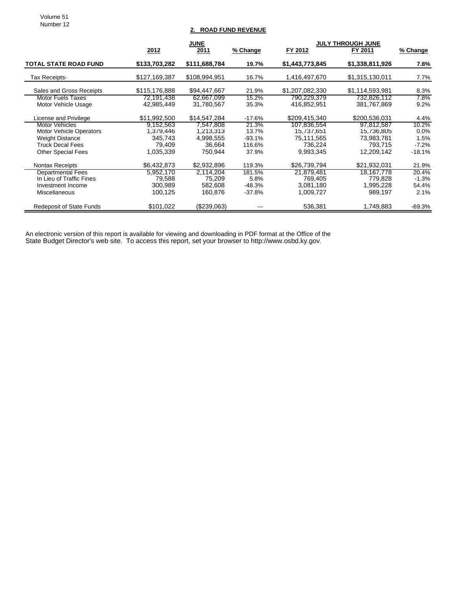Volume 51 Number 12

# **2. ROAD FUND REVENUE**

|                                 |               | <b>JUNE</b>   | <b>JULY THROUGH JUNE</b> |                 |                 |          |
|---------------------------------|---------------|---------------|--------------------------|-----------------|-----------------|----------|
|                                 | 2012          | 2011          | % Change                 | FY 2012         | FY 2011         | % Change |
| <b>TOTAL STATE ROAD FUND</b>    | \$133,703,282 | \$111,688,784 | 19.7%                    | \$1,443,773,845 | \$1,338,811,926 | 7.8%     |
| Tax Receipts-                   | \$127,169,387 | \$108,994,951 | 16.7%                    | 1,416,497,670   | \$1,315,130,011 | 7.7%     |
| Sales and Gross Receipts        | \$115,176,888 | \$94,447,667  | 21.9%                    | \$1,207,082,330 | \$1,114,593,981 | 8.3%     |
| <b>Motor Fuels Taxes</b>        | 72,191,438    | 62,667,099    | 15.2%                    | 790,229,379     | 732,826,112     | $7.8\%$  |
| Motor Vehicle Usage             | 42.985.449    | 31,780,567    | 35.3%                    | 416,852,951     | 381,767,869     | 9.2%     |
| License and Privilege           | \$11,992,500  | \$14,547,284  | $-17.6%$                 | \$209,415,340   | \$200,536,031   | 4.4%     |
| Motor Vehicles                  | 9,152,563     | 7,547,808     | 21.3%                    | 107.836.554     | 97,812,587      | $10.2\%$ |
| <b>Motor Vehicle Operators</b>  | 1,379,446     | 1,213,313     | 13.7%                    | 15,737,651      | 15,736,805      | 0.0%     |
| <b>Weight Distance</b>          | 345.743       | 4,998,555     | $-93.1%$                 | 75,111,565      | 73,983,781      | 1.5%     |
| <b>Truck Decal Fees</b>         | 79,409        | 36.664        | 116.6%                   | 736.224         | 793.715         | $-7.2%$  |
| <b>Other Special Fees</b>       | 1,035,339     | 750.944       | 37.9%                    | 9,993,345       | 12,209,142      | $-18.1%$ |
| <b>Nontax Receipts</b>          | \$6,432,873   | \$2,932,896   | 119.3%                   | \$26,739,794    | \$21,932,031    | 21.9%    |
| <b>Departmental Fees</b>        | 5,952,170     | 2,114,204     | 181.5%                   | 21,879,481      | 18,167,778      | 20.4%    |
| In Lieu of Traffic Fines        | 79,588        | 75,209        | 5.8%                     | 769,405         | 779,828         | $-1.3%$  |
| Investment Income               | 300,989       | 582,608       | -48.3%                   | 3,081,180       | 1,995,228       | 54.4%    |
| <b>Miscellaneous</b>            | 100,125       | 160,876       | $-37.8%$                 | 1,009,727       | 989,197         | 2.1%     |
| <b>Redeposit of State Funds</b> | \$101,022     | (\$239,063)   |                          | 536,381         | 1,749,883       | -69.3%   |

An electronic version of this report is available for viewing and downloading in PDF format at the Office of the State Budget Director's web site. To access this report, set your browser to http://www.osbd.ky.gov.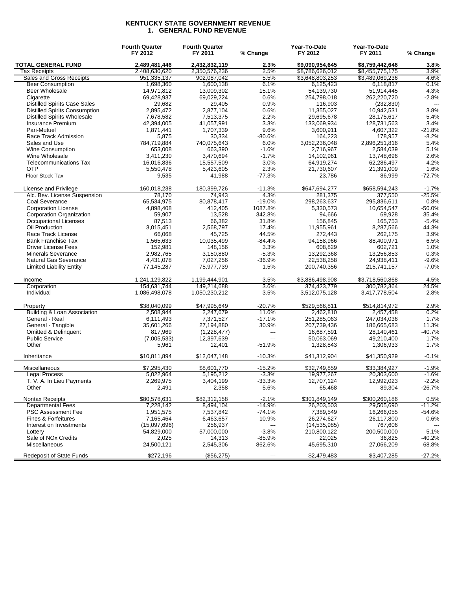#### **KENTUCKY STATE GOVERNMENT REVENUE 1. GENERAL FUND REVENUE**

|                                      | <b>Fourth Quarter</b><br>FY 2012 | <b>Fourth Quarter</b><br>FY 2011 | % Change                 | Year-To-Date<br>FY 2012 | Year-To-Date<br>FY 2011 | % Change       |
|--------------------------------------|----------------------------------|----------------------------------|--------------------------|-------------------------|-------------------------|----------------|
| <b>TOTAL GENERAL FUND</b>            | 2,489,481,446                    | 2,432,832,119                    | 2.3%                     | \$9.090.954.645         | \$8.759.442.646         | 3.8%           |
| Tax Receipts                         | 2,408,630,620                    | 2,350,576,236                    | 2.5%                     | \$8,786,626,012         | \$8,455,775,175         | 3.9%           |
| Sales and Gross Receipts             | 951,335,137                      | 902,087,042                      | 5.5%                     | \$3,648,803,253         | \$3,489,069,236         | 4.6%           |
| <b>Beer Consumption</b>              | 1,698,360                        | 1,600,138                        | 6.1%                     | 6,125,423               | 6,118,817               | 0.1%           |
| <b>Beer Wholesale</b>                | 14,971,812                       | 13,009,302                       | 15.1%                    | 54,139,730              | 51,914,445              | 4.3%           |
| Cigarette                            | 69,428,937                       | 69,029,224                       | 0.6%                     | 254,798,018             | 262,220,720             | $-2.8%$        |
| <b>Distilled Spirits Case Sales</b>  | 29,682                           | 29,405                           | 0.9%                     | 116,903                 | (232, 830)              | $\overline{a}$ |
| <b>Distilled Spirits Consumption</b> | 2,895,472                        | 2,877,104                        | 0.6%                     | 11,355,027              | 10,942,531              | 3.8%           |
| <b>Distilled Spirits Wholesale</b>   | 7,678,582                        | 7,513,375                        | 2.2%                     | 29,695,678              | 28,175,617              | 5.4%           |
| Insurance Premium                    | 42,394,005                       | 41,057,991                       | 3.3%                     | 133,069,934             | 128,731,563             | 3.4%           |
| Pari-Mutuel                          | 1,871,441                        | 1,707,339                        | 9.6%                     | 3,600,911               | 4,607,322               | $-21.8%$       |
| Race Track Admission                 | 5,875                            | 30,334                           | $-80.6%$                 | 164,223                 | 178,957                 | $-8.2%$        |
| Sales and Use                        | 784,719,884                      | 740,075,643                      | 6.0%                     | 3,052,236,048           | 2,896,251,816           | 5.4%           |
| <b>Wine Consumption</b>              | 653,008                          | 663,390                          | $-1.6%$                  | 2,716,967               | 2,584,039               | 5.1%           |
| Wine Wholesale                       | 3,411,230                        | 3,470,694                        | $-1.7%$                  | 14,102,961              | 13,748,696              | 2.6%           |
| <b>Telecommunications Tax</b>        | 16,016,836                       | 15,557,509                       | 3.0%                     | 64,919,274              | 62,286,497              | 4.2%           |
| <b>OTP</b>                           | 5,550,478                        | 5,423,605                        | 2.3%                     | 21,730,607              | 21,391,009              | 1.6%           |
| Floor Stock Tax                      | 9,535                            | 41,988                           | $-77.3%$                 | 23,786                  | 86,999                  | $-72.7%$       |
|                                      |                                  |                                  |                          |                         |                         |                |
| License and Privilege                | 160,018,238                      | 180,399,726                      | $-11.3%$                 | \$647,694,277           | \$658,594,243           | $-1.7%$        |
| Alc. Bev. License Suspension         | 78.170                           | 74,943                           | 4.3%                     | 281,375                 | 377,550                 | $-25.5%$       |
| Coal Severance                       | 65,534,975                       | 80,878,417                       | $-19.0%$                 | 298,263,637             | 295,836,611             | 0.8%           |
| <b>Corporation License</b>           | 4,898,408                        | 412,405                          | 1087.8%                  | 5,330,573               | 10,654,547              | $-50.0%$       |
| Corporation Organization             | 59,907                           | 13,528                           | 342.8%                   | 94,666                  | 69,928                  | 35.4%          |
| <b>Occupational Licenses</b>         | 87,513                           | 66,382                           | 31.8%                    | 156,845                 | 165,753                 | $-5.4%$        |
| Oil Production                       | 3,015,451                        | 2,568,797                        | 17.4%                    | 11,955,961              | 8,287,566               | 44.3%          |
| Race Track License                   | 66,068                           | 45,725                           | 44.5%                    | 272,443                 | 262,175                 | 3.9%           |
| <b>Bank Franchise Tax</b>            | 1,565,633                        | 10,035,499                       | $-84.4%$                 | 94,158,966              | 88,400,971              | 6.5%           |
| <b>Driver License Fees</b>           | 152,981                          | 148,156                          | 3.3%                     | 608,829                 | 602,721                 | 1.0%           |
| <b>Minerals Severance</b>            | 2,982,765                        | 3,150,880                        | $-5.3%$                  | 13,292,368              | 13,256,853              | 0.3%           |
| Natural Gas Severance                | 4,431,078                        | 7,027,256                        | $-36.9%$                 | 22,538,258              | 24,938,411              | $-9.6%$        |
| <b>Limited Liability Entity</b>      | 77,145,287                       | 75,977,739                       | 1.5%                     | 200,740,356             | 215,741,157             | $-7.0%$        |
| Income                               | 1,241,129,822                    | 1,199,444,901                    | 3.5%                     | \$3,886,498,908         | \$3,718,560,868         | 4.5%           |
| Corporation                          | 154,631,744                      | 149,214,688                      | 3.6%                     | 374,423,779             | 300,782,364             | 24.5%          |
| Individual                           | 1,086,498,078                    | 1,050,230,212                    | 3.5%                     | 3,512,075,128           | 3,417,778,504           | 2.8%           |
| Property                             | \$38,040,099                     | \$47,995,649                     | $-20.7%$                 | \$529,566,811           | \$514,814,972           | 2.9%           |
| Building & Loan Association          | 2,508,944                        | 2,247,679                        | 11.6%                    | 2,462,810               | 2,457,458               | 0.2%           |
| General - Real                       | 6,111,493                        | 7,371,527                        | $-17.1%$                 | 251,285,063             | 247,034,036             | 1.7%           |
| General - Tangible                   | 35,601,266                       | 27,194,880                       | 30.9%                    | 207,739,436             | 186,665,683             | 11.3%          |
| <b>Omitted &amp; Delinquent</b>      | 817,969                          | (1,228,477)                      | ---                      | 16,687,591              | 28,140,461              | $-40.7%$       |
| <b>Public Service</b>                | (7,005,533)                      | 12,397,639                       | $\overline{a}$           | 50,063,069              | 49,210,400              | 1.7%           |
| Other                                | 5,961                            | 12,401                           | -51.9%                   | 1,328,843               | 1,306,933               | 1.7%           |
| Inheritance                          | \$10,811,894                     | \$12,047,148                     | $-10.3%$                 | \$41,312,904            | \$41,350,929            | $-0.1%$        |
| Miscellaneous                        | \$7,295,430                      | \$8,601,770                      | $-15.2%$                 | \$32,749,859            | \$33,384,927            | $-1.9%$        |
| <b>Legal Process</b>                 | 5,022,964                        | 5,195,212                        | $-3.3%$                  | 19,977,267              | 20,303,600              | $-1.6%$        |
| T. V. A. In Lieu Payments            | 2,269,975                        | 3,404,199                        | $-33.3%$                 | 12,707,124              | 12,992,023              | $-2.2%$        |
| Other                                | 2,491                            | 2,358                            | 5.6%                     | 65,468                  | 89,304                  | $-26.7%$       |
| Nontax Receipts                      | \$80,578,631                     | \$82,312,158                     | $-2.1%$                  | \$301,849,149           | \$300,260,186           | 0.5%           |
| <b>Departmental Fees</b>             | 7,228,142                        | 8,494,104                        | $-14.9%$                 | 26,203,503              | 29,505,690              | $-11.2%$       |
| <b>PSC Assessment Fee</b>            | 1,951,575                        | 7,537,842                        | $-74.1%$                 | 7,389,549               | 16,266,055              | $-54.6%$       |
| Fines & Forfeitures                  | 7,165,464                        | 6,463,657                        | 10.9%                    | 26,274,627              | 26,117,800              | 0.6%           |
| Interest on Investments              | (15,097,696)                     | 256,937                          | $\overline{\phantom{a}}$ | (14, 535, 985)          | 767,606                 |                |
| Lottery                              | 54,829,000                       | 57,000,000                       | $-3.8%$                  | 210,800,122             | 200,500,000             | 5.1%           |
| Sale of NO <sub>x</sub> Credits      | 2,025                            | 14,313                           | $-85.9%$                 | 22,025                  | 36,825                  | $-40.2%$       |
| Miscellaneous                        | 24,500,121                       | 2,545,306                        | 862.6%                   | 45,695,310              | 27,066,209              | 68.8%          |
| <b>Redeposit of State Funds</b>      | \$272,196                        | (\$56,275)                       | ---                      | \$2,479,483             | \$3,407,285             | $-27.2%$       |